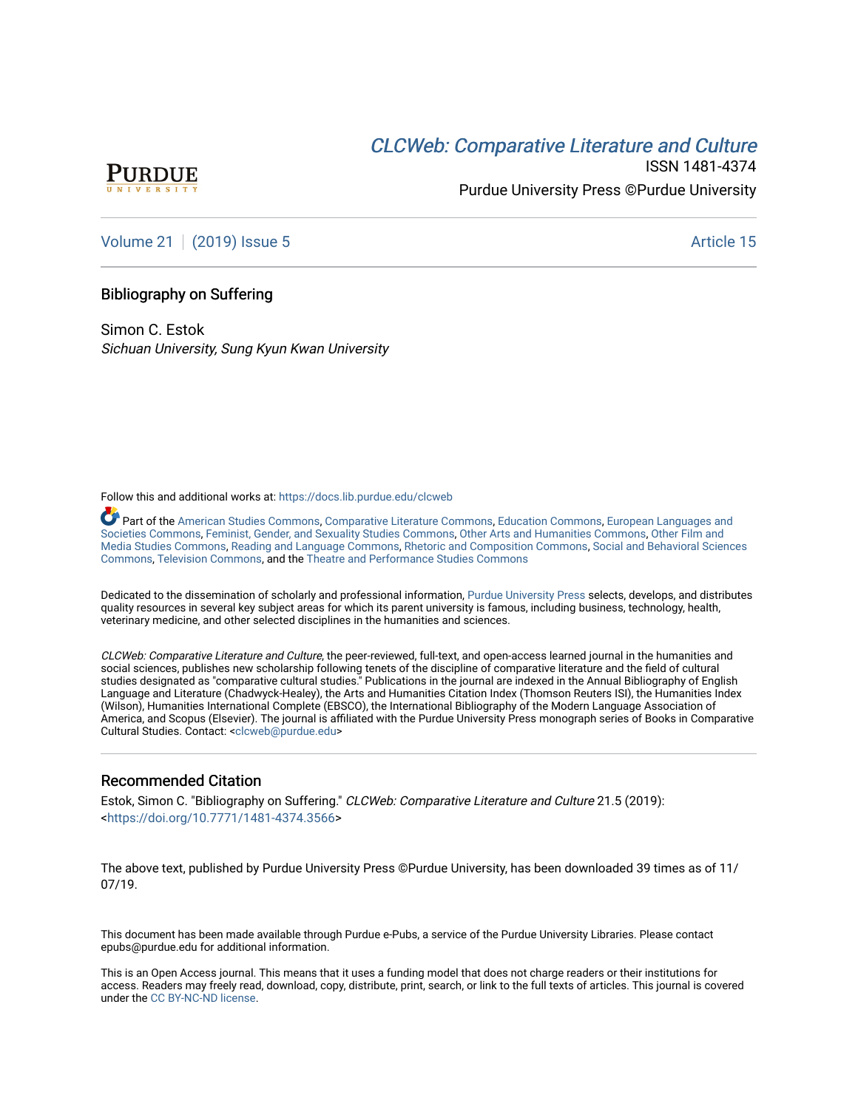# CLCW[eb: Comparative Liter](https://docs.lib.purdue.edu/clcweb)ature and Culture



ISSN 1481-4374 Purdue University Press ©Purdue University

# [Volume 21](https://docs.lib.purdue.edu/clcweb/vol21) | [\(2019\) Issue 5](https://docs.lib.purdue.edu/clcweb/vol21/iss5) Article 15

### Bibliography on Suffering

Simon C. Estok Sichuan University, Sung Kyun Kwan University

Follow this and additional works at: [https://docs.lib.purdue.edu/clcweb](https://docs.lib.purdue.edu/clcweb?utm_source=docs.lib.purdue.edu%2Fclcweb%2Fvol21%2Fiss5%2F15&utm_medium=PDF&utm_campaign=PDFCoverPages)

Part of the [American Studies Commons](http://network.bepress.com/hgg/discipline/439?utm_source=docs.lib.purdue.edu%2Fclcweb%2Fvol21%2Fiss5%2F15&utm_medium=PDF&utm_campaign=PDFCoverPages), [Comparative Literature Commons,](http://network.bepress.com/hgg/discipline/454?utm_source=docs.lib.purdue.edu%2Fclcweb%2Fvol21%2Fiss5%2F15&utm_medium=PDF&utm_campaign=PDFCoverPages) [Education Commons,](http://network.bepress.com/hgg/discipline/784?utm_source=docs.lib.purdue.edu%2Fclcweb%2Fvol21%2Fiss5%2F15&utm_medium=PDF&utm_campaign=PDFCoverPages) [European Languages and](http://network.bepress.com/hgg/discipline/482?utm_source=docs.lib.purdue.edu%2Fclcweb%2Fvol21%2Fiss5%2F15&utm_medium=PDF&utm_campaign=PDFCoverPages) [Societies Commons](http://network.bepress.com/hgg/discipline/482?utm_source=docs.lib.purdue.edu%2Fclcweb%2Fvol21%2Fiss5%2F15&utm_medium=PDF&utm_campaign=PDFCoverPages), [Feminist, Gender, and Sexuality Studies Commons,](http://network.bepress.com/hgg/discipline/559?utm_source=docs.lib.purdue.edu%2Fclcweb%2Fvol21%2Fiss5%2F15&utm_medium=PDF&utm_campaign=PDFCoverPages) [Other Arts and Humanities Commons](http://network.bepress.com/hgg/discipline/577?utm_source=docs.lib.purdue.edu%2Fclcweb%2Fvol21%2Fiss5%2F15&utm_medium=PDF&utm_campaign=PDFCoverPages), [Other Film and](http://network.bepress.com/hgg/discipline/565?utm_source=docs.lib.purdue.edu%2Fclcweb%2Fvol21%2Fiss5%2F15&utm_medium=PDF&utm_campaign=PDFCoverPages)  [Media Studies Commons](http://network.bepress.com/hgg/discipline/565?utm_source=docs.lib.purdue.edu%2Fclcweb%2Fvol21%2Fiss5%2F15&utm_medium=PDF&utm_campaign=PDFCoverPages), [Reading and Language Commons](http://network.bepress.com/hgg/discipline/1037?utm_source=docs.lib.purdue.edu%2Fclcweb%2Fvol21%2Fiss5%2F15&utm_medium=PDF&utm_campaign=PDFCoverPages), [Rhetoric and Composition Commons,](http://network.bepress.com/hgg/discipline/573?utm_source=docs.lib.purdue.edu%2Fclcweb%2Fvol21%2Fiss5%2F15&utm_medium=PDF&utm_campaign=PDFCoverPages) [Social and Behavioral Sciences](http://network.bepress.com/hgg/discipline/316?utm_source=docs.lib.purdue.edu%2Fclcweb%2Fvol21%2Fiss5%2F15&utm_medium=PDF&utm_campaign=PDFCoverPages) [Commons,](http://network.bepress.com/hgg/discipline/316?utm_source=docs.lib.purdue.edu%2Fclcweb%2Fvol21%2Fiss5%2F15&utm_medium=PDF&utm_campaign=PDFCoverPages) [Television Commons,](http://network.bepress.com/hgg/discipline/1143?utm_source=docs.lib.purdue.edu%2Fclcweb%2Fvol21%2Fiss5%2F15&utm_medium=PDF&utm_campaign=PDFCoverPages) and the [Theatre and Performance Studies Commons](http://network.bepress.com/hgg/discipline/552?utm_source=docs.lib.purdue.edu%2Fclcweb%2Fvol21%2Fiss5%2F15&utm_medium=PDF&utm_campaign=PDFCoverPages)

Dedicated to the dissemination of scholarly and professional information, [Purdue University Press](http://www.thepress.purdue.edu/) selects, develops, and distributes quality resources in several key subject areas for which its parent university is famous, including business, technology, health, veterinary medicine, and other selected disciplines in the humanities and sciences.

CLCWeb: Comparative Literature and Culture, the peer-reviewed, full-text, and open-access learned journal in the humanities and social sciences, publishes new scholarship following tenets of the discipline of comparative literature and the field of cultural studies designated as "comparative cultural studies." Publications in the journal are indexed in the Annual Bibliography of English Language and Literature (Chadwyck-Healey), the Arts and Humanities Citation Index (Thomson Reuters ISI), the Humanities Index (Wilson), Humanities International Complete (EBSCO), the International Bibliography of the Modern Language Association of America, and Scopus (Elsevier). The journal is affiliated with the Purdue University Press monograph series of Books in Comparative Cultural Studies. Contact: [<clcweb@purdue.edu](mailto:clcweb@purdue.edu)>

### Recommended Citation

Estok, Simon C. "Bibliography on Suffering." CLCWeb: Comparative Literature and Culture 21.5 (2019): <<https://doi.org/10.7771/1481-4374.3566>>

The above text, published by Purdue University Press ©Purdue University, has been downloaded 39 times as of 11/ 07/19.

This document has been made available through Purdue e-Pubs, a service of the Purdue University Libraries. Please contact epubs@purdue.edu for additional information.

This is an Open Access journal. This means that it uses a funding model that does not charge readers or their institutions for access. Readers may freely read, download, copy, distribute, print, search, or link to the full texts of articles. This journal is covered under the [CC BY-NC-ND license.](https://creativecommons.org/licenses/by-nc-nd/4.0/)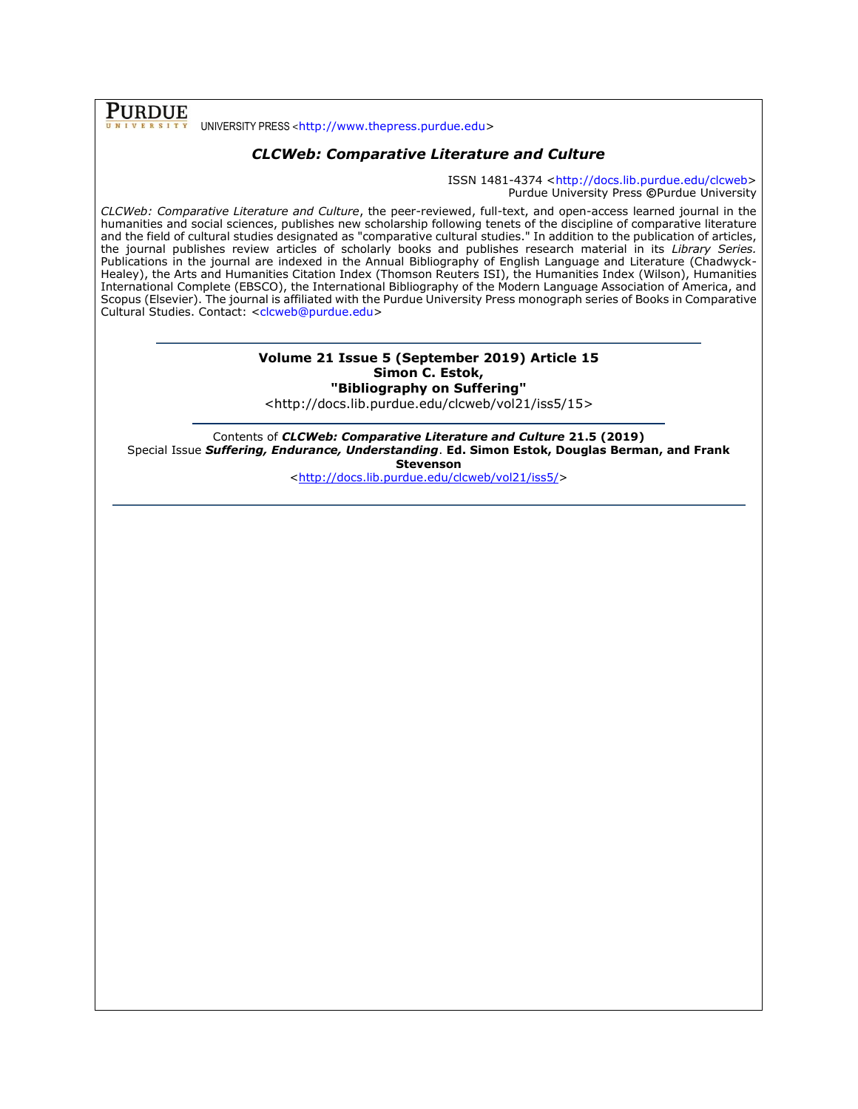**PURDUE** UNIVERSITY PRESS <[http://www.thepress.purdue.edu>](http://www.thepress.purdue.edu/)

## *CLCWeb: Comparative Literature and Culture*

ISSN 1481-4374 [<http://docs.lib.purdue.edu/clcweb>](http://docs.lib.purdue.edu/clcweb) Purdue University Press **©**Purdue University

*CLCWeb: Comparative Literature and Culture*, the peer-reviewed, full-text, and open-access learned journal in the humanities and social sciences, publishes new scholarship following tenets of the discipline of comparative literature and the field of cultural studies designated as "comparative cultural studies." In addition to the publication of articles, the journal publishes review articles of scholarly books and publishes research material in its *Library Series.*  Publications in the journal are indexed in the Annual Bibliography of English Language and Literature (Chadwyck-Healey), the Arts and Humanities Citation Index (Thomson Reuters ISI), the Humanities Index (Wilson), Humanities International Complete (EBSCO), the International Bibliography of the Modern Language Association of America, and Scopus (Elsevier). The journal is affiliated with the Purdue University Press monograph series of Books in Comparative Cultural Studies. Contact: [<clcweb@purdue.edu>](mailto:clcweb@purdue.edu)

#### **Volume 21 Issue 5 (September 2019) Article 15 Simon C. Estok, "Bibliography on Suffering"**

<http://docs.lib.purdue.edu/clcweb/vol21/iss5/15>

Contents of *CLCWeb: Comparative Literature and Culture* **21.5 (2019)** Special Issue *Suffering, Endurance, Understanding*. **Ed. Simon Estok, Douglas Berman, and Frank Stevenson**

[<http://docs.lib.purdue.edu/clcweb/vol21/iss5/>](http://docs.lib.purdue.edu/clcweb/vol21/iss5/)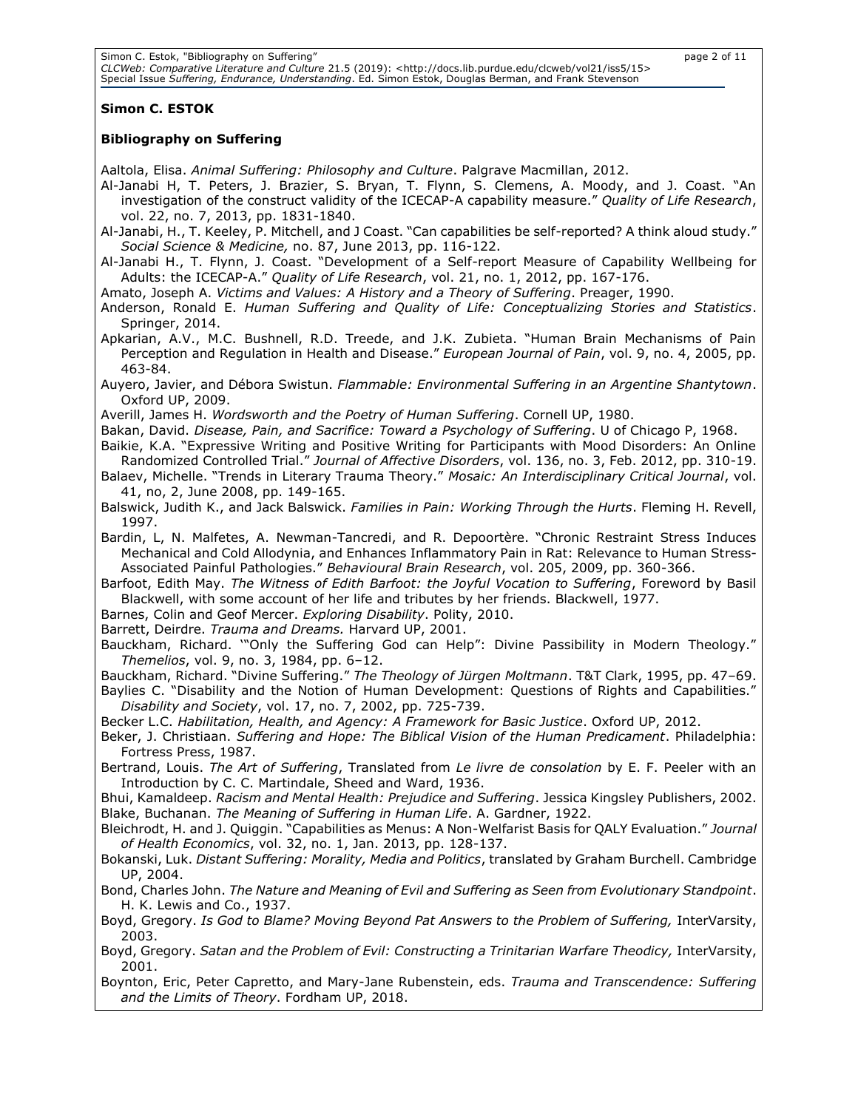### **Simon C. ESTOK**

#### **Bibliography on Suffering**

Aaltola, Elisa. *Animal Suffering: Philosophy and Culture*. Palgrave Macmillan, 2012.

- Al-Janabi H, T. Peters, J. Brazier, S. Bryan, T. Flynn, S. Clemens, A. Moody, and J. Coast. "An investigation of the construct validity of the ICECAP-A capability measure." *Quality of Life Research*, vol. 22, no. 7, 2013, pp. 1831-1840.
- Al-Janabi, H., T. Keeley, P. Mitchell, and J Coast. "Can capabilities be self-reported? A think aloud study." *Social Science & Medicine,* no. 87, June 2013, pp. 116-122.
- Al-Janabi H., T. Flynn, J. Coast. "Development of a Self-report Measure of Capability Wellbeing for Adults: the ICECAP-A." *Quality of Life Research*, vol. 21, no. 1, 2012, pp. 167-176.
- Amato, Joseph A. *Victims and Values: A History and a Theory of Suffering*. Preager, 1990.
- Anderson, Ronald E. *Human Suffering and Quality of Life: Conceptualizing Stories and Statistics*. Springer, 2014.
- Apkarian, A.V., M.C. Bushnell, R.D. Treede, and J.K. Zubieta. "Human Brain Mechanisms of Pain Perception and Regulation in Health and Disease." *European Journal of Pain*, vol. 9, no. 4, 2005, pp. 463-84.
- Auyero, Javier, and Débora Swistun. *Flammable: Environmental Suffering in an Argentine Shantytown*. Oxford UP, 2009.
- Averill, James H. *Wordsworth and the Poetry of Human Suffering*. Cornell UP, 1980.
- Bakan, David. *Disease, Pain, and Sacrifice: Toward a Psychology of Suffering*. U of Chicago P, 1968.
- Baikie, K.A. "Expressive Writing and Positive Writing for Participants with Mood Disorders: An Online Randomized Controlled Trial." *Journal of Affective Disorders*, vol. 136, no. 3, Feb. 2012, pp. 310-19.
- Balaev, Michelle. "Trends in Literary Trauma Theory." *Mosaic: An Interdisciplinary Critical Journal*, vol. 41, no, 2, June 2008, pp. 149-165.
- Balswick, Judith K., and Jack Balswick. *Families in Pain: Working Through the Hurts*. Fleming H. Revell, 1997.
- Bardin, L, N. Malfetes, A. Newman-Tancredi, and R. Depoortère. "Chronic Restraint Stress Induces Mechanical and Cold Allodynia, and Enhances Inflammatory Pain in Rat: Relevance to Human Stress-Associated Painful Pathologies." *Behavioural Brain Research*, vol. 205, 2009, pp. 360-366.

Barfoot, Edith May. *The Witness of Edith Barfoot: the Joyful Vocation to Suffering*, Foreword by Basil Blackwell, with some account of her life and tributes by her friends. Blackwell, 1977.

- Barnes, Colin and Geof Mercer. *Exploring Disability*. Polity, 2010.
- Barrett, Deirdre. *Trauma and Dreams.* Harvard UP, 2001.
- Bauckham, Richard. "Only the Suffering God can Help": Divine Passibility in Modern Theology." *Themelios*, vol. 9, no. 3, 1984, pp. 6–12.
- Bauckham, Richard. "Divine Suffering." *The Theology of Jürgen Moltmann*. T&T Clark, 1995, pp. 47–69. Baylies C. "Disability and the Notion of Human Development: Questions of Rights and Capabilities." *Disability and Society*, vol. 17, no. 7, 2002, pp. 725-739.
- Becker L.C. *Habilitation, Health, and Agency: A Framework for Basic Justice*. Oxford UP, 2012.
- Beker, J. Christiaan. *Suffering and Hope: The Biblical Vision of the Human Predicament*. Philadelphia: Fortress Press, 1987.
- Bertrand, Louis. *The Art of Suffering*, Translated from *Le livre de consolation* by E. F. Peeler with an Introduction by C. C. Martindale, Sheed and Ward, 1936.
- Bhui, Kamaldeep. *Racism and Mental Health: Prejudice and Suffering*. Jessica Kingsley Publishers, 2002. Blake, Buchanan. *The Meaning of Suffering in Human Life*. A. Gardner, 1922.
- Bleichrodt, H. and J. Quiggin. "Capabilities as Menus: A Non-Welfarist Basis for QALY Evaluation." *Journal of Health Economics*, vol. 32, no. 1, Jan. 2013, pp. 128-137.
- Bokanski, Luk. *Distant Suffering: Morality, Media and Politics*, translated by Graham Burchell. Cambridge UP, 2004.
- Bond, Charles John. *The Nature and Meaning of Evil and Suffering as Seen from Evolutionary Standpoint*. H. K. Lewis and Co., 1937.
- Boyd, Gregory. *Is God to Blame? Moving Beyond Pat Answers to the Problem of Suffering, InterVarsity,* 2003.
- Boyd, Gregory. *Satan and the Problem of Evil: Constructing a Trinitarian Warfare Theodicy, InterVarsity*, 2001.
- Boynton, Eric, Peter Capretto, and Mary-Jane Rubenstein, eds. *Trauma and Transcendence: Suffering and the Limits of Theory*. Fordham UP, 2018.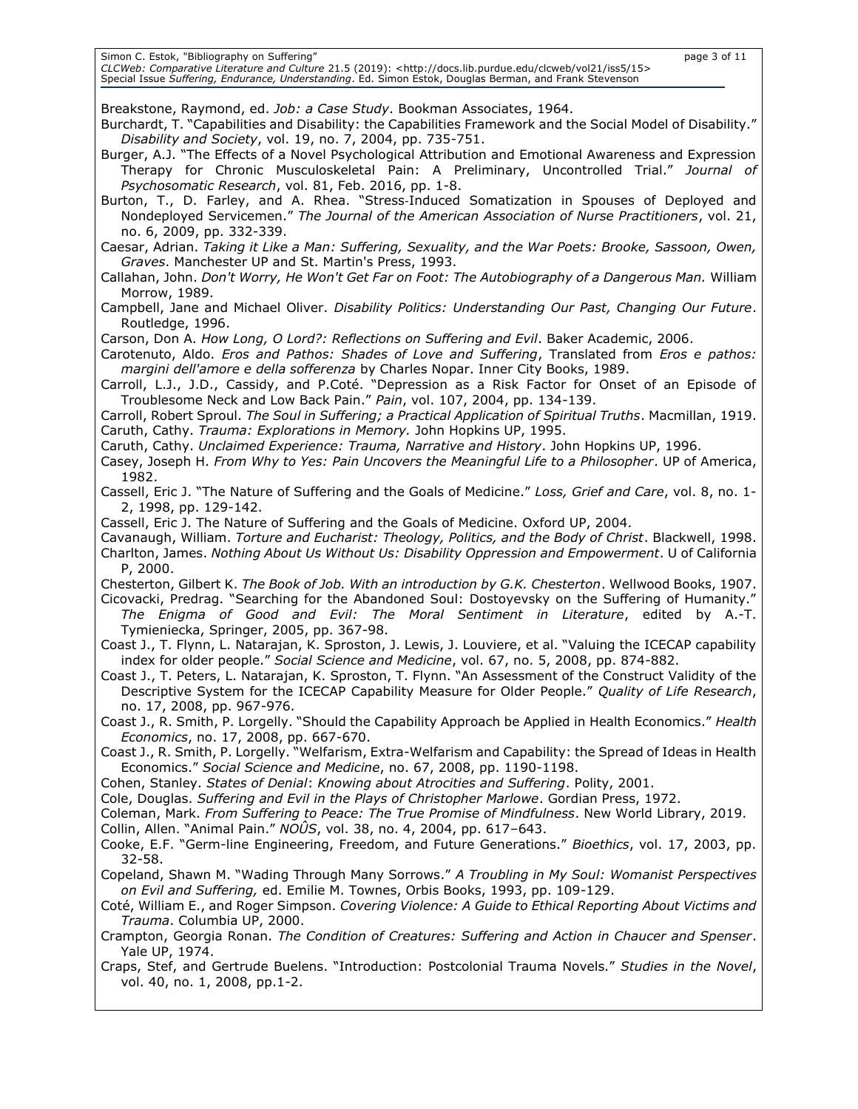Simon C. Estok, "Bibliography on Suffering" page 3 of 11 *CLCWeb: Comparative Literature and Culture* 21.5 (2019): <http://docs.lib.purdue.edu/clcweb/vol21/iss5/15> Special Issue *Suffering, Endurance, Understanding*. Ed. Simon Estok, Douglas Berman, and Frank Stevenson

Breakstone, Raymond, ed. *Job: a Case Study*. Bookman Associates, 1964.

Burchardt, T. "Capabilities and Disability: the Capabilities Framework and the Social Model of Disability." *Disability and Society*, vol. 19, no. 7, 2004, pp. 735-751.

Burger, A.J. "The Effects of a Novel Psychological Attribution and Emotional Awareness and Expression Therapy for Chronic Musculoskeletal Pain: A Preliminary, Uncontrolled Trial." *Journal of Psychosomatic Research*, vol. 81, Feb. 2016, pp. 1-8.

Burton, T., D. Farley, and A. Rhea. "Stress‐Induced Somatization in Spouses of Deployed and Nondeployed Servicemen." *The Journal of the American Association of Nurse Practitioners*, vol. 21, no. 6, 2009, pp. 332-339.

Caesar, Adrian. *Taking it Like a Man: Suffering, Sexuality, and the War Poets: Brooke, Sassoon, Owen, Graves*. Manchester UP and St. Martin's Press, 1993.

Callahan, John. *Don't Worry, He Won't Get Far on Foot: The Autobiography of a Dangerous Man.* William Morrow, 1989.

Campbell, Jane and Michael Oliver. *Disability Politics: Understanding Our Past, Changing Our Future*. Routledge, 1996.

Carson, Don A. *How Long, O Lord?: Reflections on Suffering and Evil*. Baker Academic, 2006.

Carotenuto, Aldo. *Eros and Pathos: Shades of Love and Suffering*, Translated from *Eros e pathos: margini dell'amore e della sofferenza* by Charles Nopar. Inner City Books, 1989.

Carroll, L.J., J.D., Cassidy, and P.Coté. "Depression as a Risk Factor for Onset of an Episode of Troublesome Neck and Low Back Pain." *Pain*, vol. 107, 2004, pp. 134-139.

Carroll, Robert Sproul. *The Soul in Suffering; a Practical Application of Spiritual Truths*. Macmillan, 1919. Caruth, Cathy. *Trauma: Explorations in Memory.* John Hopkins UP, 1995.

Caruth, Cathy. *Unclaimed Experience: Trauma, Narrative and History*. John Hopkins UP, 1996.

- Casey, Joseph H. *From Why to Yes: Pain Uncovers the Meaningful Life to a Philosopher*. UP of America, 1982.
- Cassell, Eric J. "The Nature of Suffering and the Goals of Medicine." *Loss, Grief and Care*, vol. 8, no. 1- 2, 1998, pp. 129-142.

Cassell, Eric J. The Nature of Suffering and the Goals of Medicine. Oxford UP, 2004.

Cavanaugh, William. *Torture and Eucharist: Theology, Politics, and the Body of Christ*. Blackwell, 1998. Charlton, James. *Nothing About Us Without Us: Disability Oppression and Empowerment*. U of California P, 2000.

Chesterton, Gilbert K. *The Book of Job. With an introduction by G.K. Chesterton*. Wellwood Books, 1907. Cicovacki, Predrag. "Searching for the Abandoned Soul: Dostoyevsky on the Suffering of Humanity."

*The Enigma of Good and Evil: The Moral Sentiment in Literature*, edited by A.-T. Tymieniecka, Springer, 2005, pp. 367-98.

Coast J., T. Flynn, L. Natarajan, K. Sproston, J. Lewis, J. Louviere, et al. "Valuing the ICECAP capability index for older people." *Social Science and Medicine*, vol. 67, no. 5, 2008, pp. 874-882.

- Coast J., T. Peters, L. Natarajan, K. Sproston, T. Flynn. "An Assessment of the Construct Validity of the Descriptive System for the ICECAP Capability Measure for Older People." *Quality of Life Research*, no. 17, 2008, pp. 967-976.
- Coast J., R. Smith, P. Lorgelly. "Should the Capability Approach be Applied in Health Economics." *Health Economics*, no. 17, 2008, pp. 667-670.
- Coast J., R. Smith, P. Lorgelly. "Welfarism, Extra-Welfarism and Capability: the Spread of Ideas in Health Economics." *Social Science and Medicine*, no. 67, 2008, pp. 1190-1198.
- Cohen, Stanley. *States of Denial*: *Knowing about Atrocities and Suffering*. Polity, 2001.

Cole, Douglas. *Suffering and Evil in the Plays of Christopher Marlowe*. Gordian Press, 1972.

Coleman, Mark. *From Suffering to Peace: The True Promise of Mindfulness*. New World Library, 2019.

Collin, Allen. "Animal Pain." *NOÛS*, vol. 38, no. 4, 2004, pp. 617–643.

- Cooke, E.F. "Germ-line Engineering, Freedom, and Future Generations." *Bioethics*, vol. 17, 2003, pp. 32-58.
- Copeland, Shawn M. "Wading Through Many Sorrows." *A Troubling in My Soul: Womanist Perspectives on Evil and Suffering,* ed. Emilie M. Townes, Orbis Books, 1993, pp. 109-129.

Coté, William E., and Roger Simpson. *Covering Violence: A Guide to Ethical Reporting About Victims and Trauma*. Columbia UP, 2000.

Crampton, Georgia Ronan. *The Condition of Creatures: Suffering and Action in Chaucer and Spenser*. Yale UP, 1974.

Craps, Stef, and Gertrude Buelens. "Introduction: Postcolonial Trauma Novels." *Studies in the Novel*, vol. 40, no. 1, 2008, pp.1-2.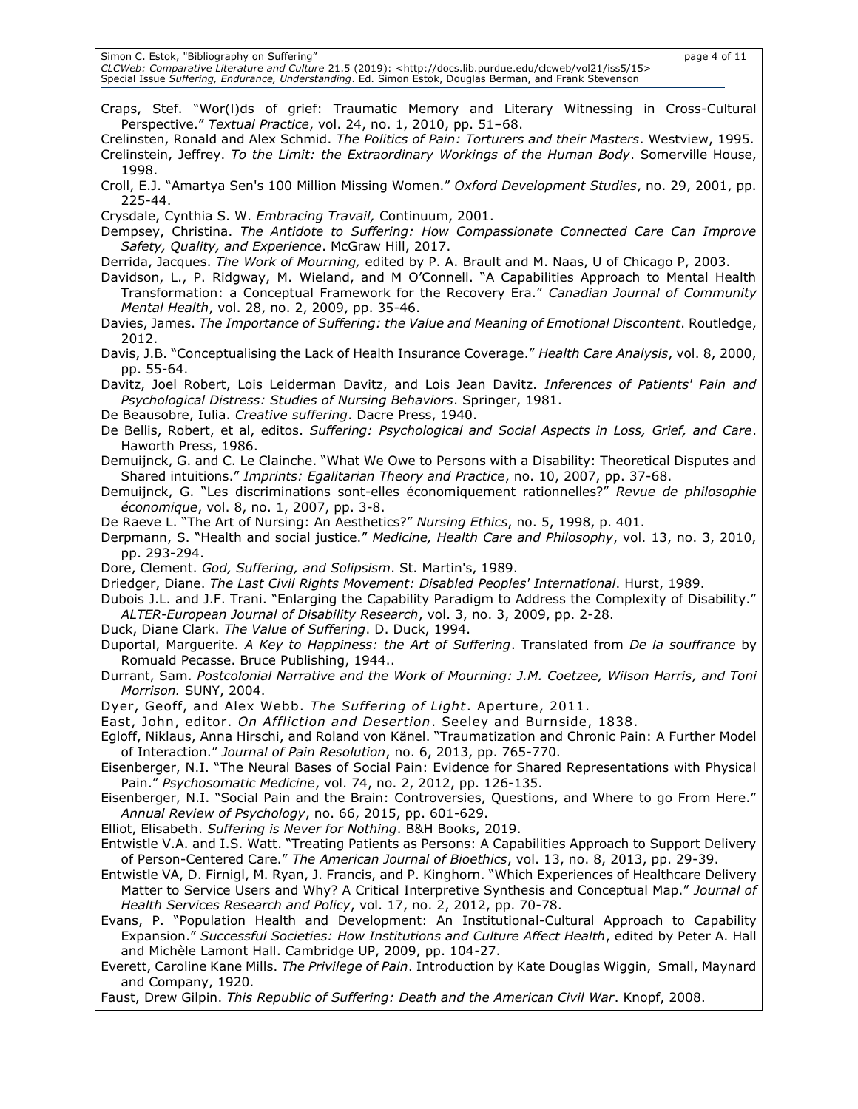Simon C. Estok, "Bibliography on Suffering" page 4 of 11 *CLCWeb: Comparative Literature and Culture* 21.5 (2019): <http://docs.lib.purdue.edu/clcweb/vol21/iss5/15> Special Issue *Suffering, Endurance, Understanding*. Ed. Simon Estok, Douglas Berman, and Frank Stevenson Craps, Stef. "Wor(l)ds of grief: Traumatic Memory and Literary Witnessing in Cross-Cultural Perspective." *Textual Practice*, vol. 24, no. 1, 2010, pp. 51–68. Crelinsten, Ronald and Alex Schmid. *The Politics of Pain: Torturers and their Masters*. Westview, 1995. Crelinstein, Jeffrey. *To the Limit: the Extraordinary Workings of the Human Body*. Somerville House, 1998. Croll, E.J. "Amartya Sen's 100 Million Missing Women." *Oxford Development Studies*, no. 29, 2001, pp. 225-44. Crysdale, Cynthia S. W. *Embracing Travail,* Continuum, 2001. Dempsey, Christina. *The Antidote to Suffering: How Compassionate Connected Care Can Improve Safety, Quality, and Experience*. McGraw Hill, 2017. Derrida, Jacques. *The Work of Mourning,* edited by P. A. Brault and M. Naas, U of Chicago P, 2003. Davidson, L., P. Ridgway, M. Wieland, and M O'Connell. "A Capabilities Approach to Mental Health Transformation: a Conceptual Framework for the Recovery Era." *Canadian Journal of Community Mental Health*, vol. 28, no. 2, 2009, pp. 35-46. Davies, James. *The Importance of Suffering: the Value and Meaning of Emotional Discontent*. Routledge, 2012. Davis, J.B. "Conceptualising the Lack of Health Insurance Coverage." *Health Care Analysis*, vol. 8, 2000, pp. 55-64. Davitz, Joel Robert, Lois Leiderman Davitz, and Lois Jean Davitz. *Inferences of Patients' Pain and Psychological Distress: Studies of Nursing Behaviors*. Springer, 1981. De Beausobre, Iulia. *Creative suffering*. Dacre Press, 1940. De Bellis, Robert, et al, editos. *Suffering: Psychological and Social Aspects in Loss, Grief, and Care*. Haworth Press, 1986. Demuijnck, G. and C. Le Clainche. "What We Owe to Persons with a Disability: Theoretical Disputes and Shared intuitions." *Imprints: Egalitarian Theory and Practice*, no. 10, 2007, pp. 37-68. Demuijnck, G. "Les discriminations sont-elles économiquement rationnelles?" *Revue de philosophie économique*, vol. 8, no. 1, 2007, pp. 3-8. De Raeve L. "The Art of Nursing: An Aesthetics?" *Nursing Ethics*, no. 5, 1998, p. 401. Derpmann, S. "Health and social justice." *Medicine, Health Care and Philosophy*, vol. 13, no. 3, 2010, pp. 293-294. Dore, Clement. *God, Suffering, and Solipsism*. St. Martin's, 1989. Driedger, Diane. *The Last Civil Rights Movement: Disabled Peoples' International*. Hurst, 1989. Dubois J.L. and J.F. Trani. "Enlarging the Capability Paradigm to Address the Complexity of Disability." *ALTER-European Journal of Disability Research*, vol. 3, no. 3, 2009, pp. 2-28. Duck, Diane Clark. *The Value of Suffering*. D. Duck, 1994. Duportal, Marguerite. *A Key to Happiness: the Art of Suffering*. Translated from *De la souffrance* by Romuald Pecasse. Bruce Publishing, 1944.. Durrant, Sam. *Postcolonial Narrative and the Work of Mourning: J.M. Coetzee, Wilson Harris, and Toni Morrison.* SUNY, 2004. Dyer, Geoff, and Alex Webb. *The Suffering of Light*. Aperture, 2011. East, John, editor. *On Affliction and Desertion*. Seeley and Burnside, 1838. Egloff, Niklaus, Anna Hirschi, and Roland von Känel. "Traumatization and Chronic Pain: A Further Model of Interaction." *Journal of Pain Resolution*, no. 6, 2013, pp. 765-770. Eisenberger, N.I. "The Neural Bases of Social Pain: Evidence for Shared Representations with Physical Pain." *Psychosomatic Medicine*, vol. 74, no. 2, 2012, pp. 126-135. Eisenberger, N.I. "Social Pain and the Brain: Controversies, Questions, and Where to go From Here." *Annual Review of Psychology*, no. 66, 2015, pp. 601-629. Elliot, Elisabeth. *Suffering is Never for Nothing*. B&H Books, 2019. Entwistle V.A. and I.S. Watt. "Treating Patients as Persons: A Capabilities Approach to Support Delivery of Person-Centered Care." *The American Journal of Bioethics*, vol. 13, no. 8, 2013, pp. 29-39. Entwistle VA, D. Firnigl, M. Ryan, J. Francis, and P. Kinghorn. "Which Experiences of Healthcare Delivery Matter to Service Users and Why? A Critical Interpretive Synthesis and Conceptual Map." *Journal of Health Services Research and Policy*, vol. 17, no. 2, 2012, pp. 70-78. Evans, P. "Population Health and Development: An Institutional-Cultural Approach to Capability Expansion." *Successful Societies: How Institutions and Culture Affect Health*, edited by Peter A. Hall and Michèle Lamont Hall. Cambridge UP, 2009, pp. 104-27. Everett, Caroline Kane Mills. *The Privilege of Pain*. Introduction by Kate Douglas Wiggin, Small, Maynard and Company, 1920. Faust, Drew Gilpin. *This Republic of Suffering: Death and the American Civil War*. Knopf, 2008.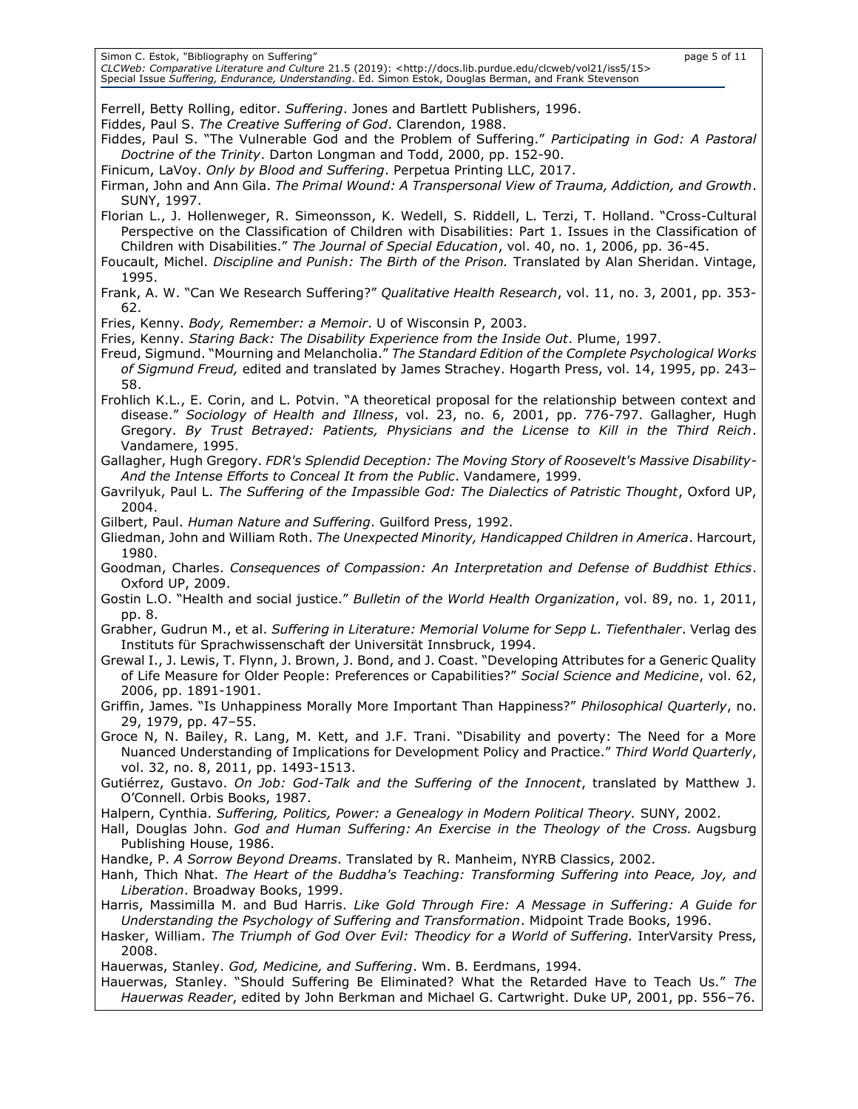Simon C. Estok, "Bibliography on Suffering" page 5 of 11 *CLCWeb: Comparative Literature and Culture* 21.5 (2019): <http://docs.lib.purdue.edu/clcweb/vol21/iss5/15> Special Issue *Suffering, Endurance, Understanding*. Ed. Simon Estok, Douglas Berman, and Frank Stevenson

Ferrell, Betty Rolling, editor. *Suffering*. Jones and Bartlett Publishers, 1996.

Fiddes, Paul S. *The Creative Suffering of God*. Clarendon, 1988.

Fiddes, Paul S. "The Vulnerable God and the Problem of Suffering." *Participating in God: A Pastoral Doctrine of the Trinity*. Darton Longman and Todd, 2000, pp. 152-90.

Finicum, LaVoy. *Only by Blood and Suffering*. Perpetua Printing LLC, 2017.

Firman, John and Ann Gila. *The Primal Wound: A Transpersonal View of Trauma, Addiction, and Growth*. SUNY, 1997.

Florian L., J. Hollenweger, R. Simeonsson, K. Wedell, S. Riddell, L. Terzi, T. Holland. "Cross-Cultural Perspective on the Classification of Children with Disabilities: Part 1. Issues in the Classification of Children with Disabilities." *The Journal of Special Education*, vol. 40, no. 1, 2006, pp. 36-45.

Foucault, Michel. *Discipline and Punish: The Birth of the Prison.* Translated by Alan Sheridan. Vintage, 1995.

Frank, A. W. "Can We Research Suffering?" *Qualitative Health Research*, vol. 11, no. 3, 2001, pp. 353- 62.

Fries, Kenny. *Body, Remember: a Memoir*. U of Wisconsin P, 2003.

Fries, Kenny. *Staring Back: The Disability Experience from the Inside Out*. Plume, 1997.

Freud, Sigmund. "Mourning and Melancholia." *The Standard Edition of the Complete Psychological Works of Sigmund Freud,* edited and translated by James Strachey. Hogarth Press, vol. 14, 1995, pp. 243– 58.

Frohlich K.L., E. Corin, and L. Potvin. "A theoretical proposal for the relationship between context and disease." *Sociology of Health and Illness*, vol. 23, no. 6, 2001, pp. 776-797. Gallagher, Hugh Gregory. *By Trust Betrayed: Patients, Physicians and the License to Kill in the Third Reich*. Vandamere, 1995.

Gallagher, Hugh Gregory. *FDR's Splendid Deception: The Moving Story of Roosevelt's Massive Disability-And the Intense Efforts to Conceal It from the Public*. Vandamere, 1999.

Gavrilyuk, Paul L. *The Suffering of the Impassible God: The Dialectics of Patristic Thought*, Oxford UP, 2004.

Gilbert, Paul. *Human Nature and Suffering*. Guilford Press, 1992.

Gliedman, John and William Roth. *The Unexpected Minority, Handicapped Children in America*. Harcourt, 1980.

Goodman, Charles. *Consequences of Compassion: An Interpretation and Defense of Buddhist Ethics*. Oxford UP, 2009.

Gostin L.O. "Health and social justice." *Bulletin of the World Health Organization*, vol. 89, no. 1, 2011, pp. 8.

Grabher, Gudrun M., et al. *Suffering in Literature: Memorial Volume for Sepp L. Tiefenthaler*. Verlag des Instituts für Sprachwissenschaft der Universität Innsbruck, 1994.

Grewal I., J. Lewis, T. Flynn, J. Brown, J. Bond, and J. Coast. "Developing Attributes for a Generic Quality of Life Measure for Older People: Preferences or Capabilities?" *Social Science and Medicine*, vol. 62, 2006, pp. 1891-1901.

Griffin, James. "Is Unhappiness Morally More Important Than Happiness?" *Philosophical Quarterly*, no. 29, 1979, pp. 47–55.

Groce N, N. Bailey, R. Lang, M. Kett, and J.F. Trani. "Disability and poverty: The Need for a More Nuanced Understanding of Implications for Development Policy and Practice." *Third World Quarterly*, vol. 32, no. 8, 2011, pp. 1493-1513.

Gutiérrez, Gustavo. *On Job: God-Talk and the Suffering of the Innocent*, translated by Matthew J. O'Connell. Orbis Books, 1987.

Halpern, Cynthia. *Suffering, Politics, Power: a Genealogy in Modern Political Theory.* SUNY, 2002.

Hall, Douglas John. *God and Human Suffering: An Exercise in the Theology of the Cross.* Augsburg Publishing House, 1986.

Handke, P. *A Sorrow Beyond Dreams*. Translated by R. Manheim, NYRB Classics, 2002.

Hanh, Thich Nhat. *The Heart of the Buddha's Teaching: Transforming Suffering into Peace, Joy, and Liberation*. Broadway Books, 1999.

Harris, Massimilla M. and Bud Harris. *Like Gold Through Fire: A Message in Suffering: A Guide for Understanding the Psychology of Suffering and Transformation*. Midpoint Trade Books, 1996.

Hasker, William. *The Triumph of God Over Evil: Theodicy for a World of Suffering.* InterVarsity Press, 2008.

Hauerwas, Stanley. *God, Medicine, and Suffering*. Wm. B. Eerdmans, 1994.

Hauerwas, Stanley. "Should Suffering Be Eliminated? What the Retarded Have to Teach Us." *The Hauerwas Reader*, edited by John Berkman and Michael G. Cartwright. Duke UP, 2001, pp. 556–76.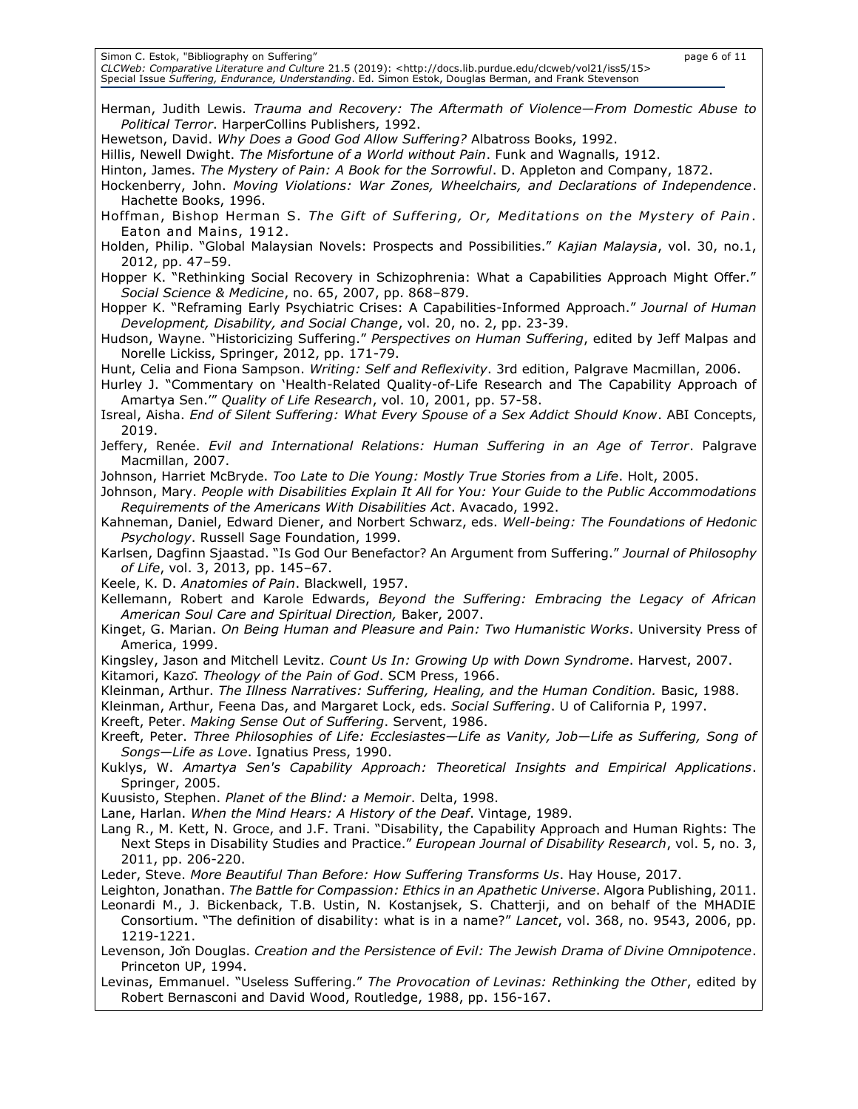| Simon C. Estok, "Bibliography on Suffering"<br>page 6 of 11<br>CLCWeb: Comparative Literature and Culture 21.5 (2019): <http: 15="" clcweb="" docs.lib.purdue.edu="" iss5="" vol21=""><br/>Special Issue Suffering, Endurance, Understanding. Ed. Simon Estok, Douglas Berman, and Frank Stevenson</http:>                                                                                                                    |
|-------------------------------------------------------------------------------------------------------------------------------------------------------------------------------------------------------------------------------------------------------------------------------------------------------------------------------------------------------------------------------------------------------------------------------|
| Herman, Judith Lewis. Trauma and Recovery: The Aftermath of Violence-From Domestic Abuse to<br>Political Terror. HarperCollins Publishers, 1992.<br>Hewetson, David. Why Does a Good God Allow Suffering? Albatross Books, 1992.<br>Hillis, Newell Dwight. The Misfortune of a World without Pain. Funk and Wagnalls, 1912.                                                                                                   |
| Hinton, James. The Mystery of Pain: A Book for the Sorrowful. D. Appleton and Company, 1872.<br>Hockenberry, John. Moving Violations: War Zones, Wheelchairs, and Declarations of Independence.<br>Hachette Books, 1996.                                                                                                                                                                                                      |
| Hoffman, Bishop Herman S. The Gift of Suffering, Or, Meditations on the Mystery of Pain.<br>Eaton and Mains, 1912.                                                                                                                                                                                                                                                                                                            |
| Holden, Philip. "Global Malaysian Novels: Prospects and Possibilities." Kajian Malaysia, vol. 30, no.1,<br>2012, pp. 47-59.                                                                                                                                                                                                                                                                                                   |
| Hopper K. "Rethinking Social Recovery in Schizophrenia: What a Capabilities Approach Might Offer."<br>Social Science & Medicine, no. 65, 2007, pp. 868-879.                                                                                                                                                                                                                                                                   |
| Hopper K. "Reframing Early Psychiatric Crises: A Capabilities-Informed Approach." Journal of Human<br>Development, Disability, and Social Change, vol. 20, no. 2, pp. 23-39.<br>Hudson, Wayne. "Historicizing Suffering." Perspectives on Human Suffering, edited by Jeff Malpas and                                                                                                                                          |
| Norelle Lickiss, Springer, 2012, pp. 171-79.<br>Hunt, Celia and Fiona Sampson. Writing: Self and Reflexivity. 3rd edition, Palgrave Macmillan, 2006.                                                                                                                                                                                                                                                                          |
| Hurley J. "Commentary on 'Health-Related Quality-of-Life Research and The Capability Approach of<br>Amartya Sen."" Quality of Life Research, vol. 10, 2001, pp. 57-58.                                                                                                                                                                                                                                                        |
| Isreal, Aisha. End of Silent Suffering: What Every Spouse of a Sex Addict Should Know. ABI Concepts,<br>2019.                                                                                                                                                                                                                                                                                                                 |
| Jeffery, Renée. Evil and International Relations: Human Suffering in an Age of Terror. Palgrave<br>Macmillan, 2007.                                                                                                                                                                                                                                                                                                           |
| Johnson, Harriet McBryde. Too Late to Die Young: Mostly True Stories from a Life. Holt, 2005.<br>Johnson, Mary. People with Disabilities Explain It All for You: Your Guide to the Public Accommodations<br>Requirements of the Americans With Disabilities Act. Avacado, 1992.                                                                                                                                               |
| Kahneman, Daniel, Edward Diener, and Norbert Schwarz, eds. Well-being: The Foundations of Hedonic<br>Psychology. Russell Sage Foundation, 1999.                                                                                                                                                                                                                                                                               |
| Karlsen, Dagfinn Sjaastad. "Is God Our Benefactor? An Argument from Suffering." Journal of Philosophy<br>of Life, vol. 3, 2013, pp. 145-67.                                                                                                                                                                                                                                                                                   |
| Keele, K. D. Anatomies of Pain. Blackwell, 1957.<br>Kellemann, Robert and Karole Edwards, Beyond the Suffering: Embracing the Legacy of African<br>American Soul Care and Spiritual Direction, Baker, 2007.                                                                                                                                                                                                                   |
| Kinget, G. Marian. On Being Human and Pleasure and Pain: Two Humanistic Works. University Press of<br>America, 1999.                                                                                                                                                                                                                                                                                                          |
| Kingsley, Jason and Mitchell Levitz. Count Us In: Growing Up with Down Syndrome. Harvest, 2007.<br>Kitamori, Kazo. Theology of the Pain of God. SCM Press, 1966.                                                                                                                                                                                                                                                              |
| Kleinman, Arthur. The Illness Narratives: Suffering, Healing, and the Human Condition. Basic, 1988.<br>Kleinman, Arthur, Feena Das, and Margaret Lock, eds. Social Suffering. U of California P, 1997.<br>Kreeft, Peter. Making Sense Out of Suffering. Servent, 1986.                                                                                                                                                        |
| Kreeft, Peter. Three Philosophies of Life: Ecclesiastes-Life as Vanity, Job-Life as Suffering, Song of<br>Songs-Life as Love. Ignatius Press, 1990.                                                                                                                                                                                                                                                                           |
| Kuklys, W. Amartya Sen's Capability Approach: Theoretical Insights and Empirical Applications.<br>Springer, 2005.                                                                                                                                                                                                                                                                                                             |
| Kuusisto, Stephen. Planet of the Blind: a Memoir. Delta, 1998.<br>Lane, Harlan. When the Mind Hears: A History of the Deaf. Vintage, 1989.<br>Lang R., M. Kett, N. Groce, and J.F. Trani. "Disability, the Capability Approach and Human Rights: The                                                                                                                                                                          |
| Next Steps in Disability Studies and Practice." European Journal of Disability Research, vol. 5, no. 3,<br>2011, pp. 206-220.                                                                                                                                                                                                                                                                                                 |
| Leder, Steve. More Beautiful Than Before: How Suffering Transforms Us. Hay House, 2017.<br>Leighton, Jonathan. The Battle for Compassion: Ethics in an Apathetic Universe. Algora Publishing, 2011.<br>Leonardi M., J. Bickenback, T.B. Ustin, N. Kostanjsek, S. Chatterji, and on behalf of the MHADIE<br>Consortium. "The definition of disability: what is in a name?" Lancet, vol. 368, no. 9543, 2006, pp.<br>1219-1221. |
| Levenson, Jon Douglas. Creation and the Persistence of Evil: The Jewish Drama of Divine Omnipotence.<br>Princeton UP, 1994.                                                                                                                                                                                                                                                                                                   |
| Levinas, Emmanuel. "Useless Suffering." The Provocation of Levinas: Rethinking the Other, edited by<br>Robert Bernasconi and David Wood, Routledge, 1988, pp. 156-167.                                                                                                                                                                                                                                                        |
|                                                                                                                                                                                                                                                                                                                                                                                                                               |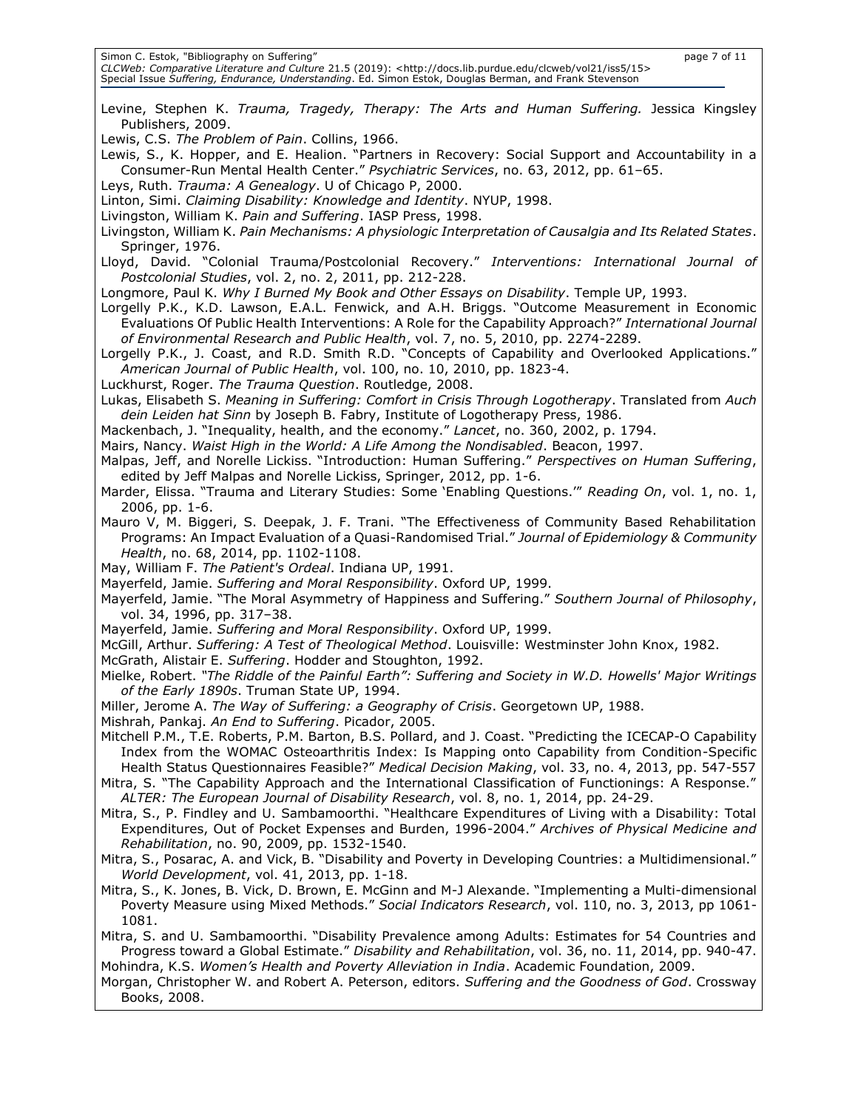| Simon C. Estok, "Bibliography on Suffering"                                                                                     | page 7 of 11 |
|---------------------------------------------------------------------------------------------------------------------------------|--------------|
| CLCWeb: Comparative Literature and Culture 21.5 (2019): <http: 15="" clcweb="" docs.lib.purdue.edu="" iss5="" vol21=""></http:> |              |
| Special Issue Suffering, Endurance, Understanding. Ed. Simon Estok, Douglas Berman, and Frank Stevenson                         |              |

| special Issue Sunching, Endurance, Understanding. Ed. Simon Estok, Douglas Berman, and Framk Stevenson                                                                       |
|------------------------------------------------------------------------------------------------------------------------------------------------------------------------------|
| Levine, Stephen K. Trauma, Tragedy, Therapy: The Arts and Human Suffering. Jessica Kingsley<br>Publishers, 2009.                                                             |
| Lewis, C.S. The Problem of Pain. Collins, 1966.                                                                                                                              |
| Lewis, S., K. Hopper, and E. Healion. "Partners in Recovery: Social Support and Accountability in a                                                                          |
|                                                                                                                                                                              |
| Consumer-Run Mental Health Center." Psychiatric Services, no. 63, 2012, pp. 61-65.                                                                                           |
| Leys, Ruth. Trauma: A Genealogy. U of Chicago P, 2000.                                                                                                                       |
| Linton, Simi. Claiming Disability: Knowledge and Identity. NYUP, 1998.                                                                                                       |
| Livingston, William K. Pain and Suffering. IASP Press, 1998.                                                                                                                 |
| Livingston, William K. Pain Mechanisms: A physiologic Interpretation of Causalgia and Its Related States.<br>Springer, 1976.                                                 |
| Lloyd, David. "Colonial Trauma/Postcolonial Recovery." Interventions: International Journal of                                                                               |
| Postcolonial Studies, vol. 2, no. 2, 2011, pp. 212-228.                                                                                                                      |
| Longmore, Paul K. Why I Burned My Book and Other Essays on Disability. Temple UP, 1993.                                                                                      |
|                                                                                                                                                                              |
| Lorgelly P.K., K.D. Lawson, E.A.L. Fenwick, and A.H. Briggs. "Outcome Measurement in Economic                                                                                |
| Evaluations Of Public Health Interventions: A Role for the Capability Approach?" International Journal                                                                       |
| of Environmental Research and Public Health, vol. 7, no. 5, 2010, pp. 2274-2289.                                                                                             |
| Lorgelly P.K., J. Coast, and R.D. Smith R.D. "Concepts of Capability and Overlooked Applications."<br>American Journal of Public Health, vol. 100, no. 10, 2010, pp. 1823-4. |
| Luckhurst, Roger. The Trauma Question. Routledge, 2008.                                                                                                                      |
| Lukas, Elisabeth S. Meaning in Suffering: Comfort in Crisis Through Logotherapy. Translated from Auch                                                                        |
| dein Leiden hat Sinn by Joseph B. Fabry, Institute of Logotherapy Press, 1986.                                                                                               |
| Mackenbach, J. "Inequality, health, and the economy." Lancet, no. 360, 2002, p. 1794.                                                                                        |
|                                                                                                                                                                              |
| Mairs, Nancy. Waist High in the World: A Life Among the Nondisabled. Beacon, 1997.                                                                                           |
| Malpas, Jeff, and Norelle Lickiss. "Introduction: Human Suffering." Perspectives on Human Suffering,                                                                         |
| edited by Jeff Malpas and Norelle Lickiss, Springer, 2012, pp. 1-6.                                                                                                          |
| Marder, Elissa. "Trauma and Literary Studies: Some 'Enabling Questions." Reading On, vol. 1, no. 1,                                                                          |
| 2006, pp. 1-6.                                                                                                                                                               |
| Mauro V, M. Biggeri, S. Deepak, J. F. Trani. "The Effectiveness of Community Based Rehabilitation                                                                            |
| Programs: An Impact Evaluation of a Quasi-Randomised Trial." Journal of Epidemiology & Community                                                                             |
| Health, no. 68, 2014, pp. 1102-1108.                                                                                                                                         |
|                                                                                                                                                                              |
| May, William F. The Patient's Ordeal. Indiana UP, 1991.                                                                                                                      |
| Mayerfeld, Jamie. Suffering and Moral Responsibility. Oxford UP, 1999.                                                                                                       |
| Mayerfeld, Jamie. "The Moral Asymmetry of Happiness and Suffering." Southern Journal of Philosophy,                                                                          |
| vol. 34, 1996, pp. 317-38.                                                                                                                                                   |
| Mayerfeld, Jamie. Suffering and Moral Responsibility. Oxford UP, 1999.                                                                                                       |
| McGill, Arthur. Suffering: A Test of Theological Method. Louisville: Westminster John Knox, 1982.                                                                            |
| McGrath, Alistair E. Suffering. Hodder and Stoughton, 1992.                                                                                                                  |
| Mielke, Robert. "The Riddle of the Painful Earth": Suffering and Society in W.D. Howells' Major Writings                                                                     |
| of the Early 1890s. Truman State UP, 1994.                                                                                                                                   |
|                                                                                                                                                                              |
| Miller, Jerome A. The Way of Suffering: a Geography of Crisis. Georgetown UP, 1988                                                                                           |
| Mishrah, Pankaj. An End to Suffering. Picador, 2005.                                                                                                                         |
| Mitchell P.M., T.E. Roberts, P.M. Barton, B.S. Pollard, and J. Coast. "Predicting the ICECAP-O Capability                                                                    |
| Index from the WOMAC Osteoarthritis Index: Is Mapping onto Capability from Condition-Specific                                                                                |
| Health Status Questionnaires Feasible?" Medical Decision Making, vol. 33, no. 4, 2013, pp. 547-557                                                                           |
| Mitra, S. "The Capability Approach and the International Classification of Functionings: A Response."                                                                        |
| ALTER: The European Journal of Disability Research, vol. 8, no. 1, 2014, pp. 24-29.                                                                                          |
|                                                                                                                                                                              |
| Mitra, S., P. Findley and U. Sambamoorthi. "Healthcare Expenditures of Living with a Disability: Total                                                                       |
| Expenditures, Out of Pocket Expenses and Burden, 1996-2004." Archives of Physical Medicine and                                                                               |
| Rehabilitation, no. 90, 2009, pp. 1532-1540.                                                                                                                                 |
| Mitra, S., Posarac, A. and Vick, B. "Disability and Poverty in Developing Countries: a Multidimensional."                                                                    |
| World Development, vol. 41, 2013, pp. 1-18.                                                                                                                                  |
| Mitra, S., K. Jones, B. Vick, D. Brown, E. McGinn and M-J Alexande. "Implementing a Multi-dimensional                                                                        |
| Poverty Measure using Mixed Methods." Social Indicators Research, vol. 110, no. 3, 2013, pp 1061-                                                                            |
| 1081.                                                                                                                                                                        |
|                                                                                                                                                                              |

Mitra, S. and U. Sambamoorthi. "Disability Prevalence among Adults: Estimates for 54 Countries and Progress toward a Global Estimate." *Disability and Rehabilitation*, vol. 36, no. 11, 2014, pp. 940-47. Mohindra, K.S. *Women's Health and Poverty Alleviation in India*. Academic Foundation, 2009.

Morgan, Christopher W. and Robert A. Peterson, editors. *Suffering and the Goodness of God*. Crossway Books, 2008.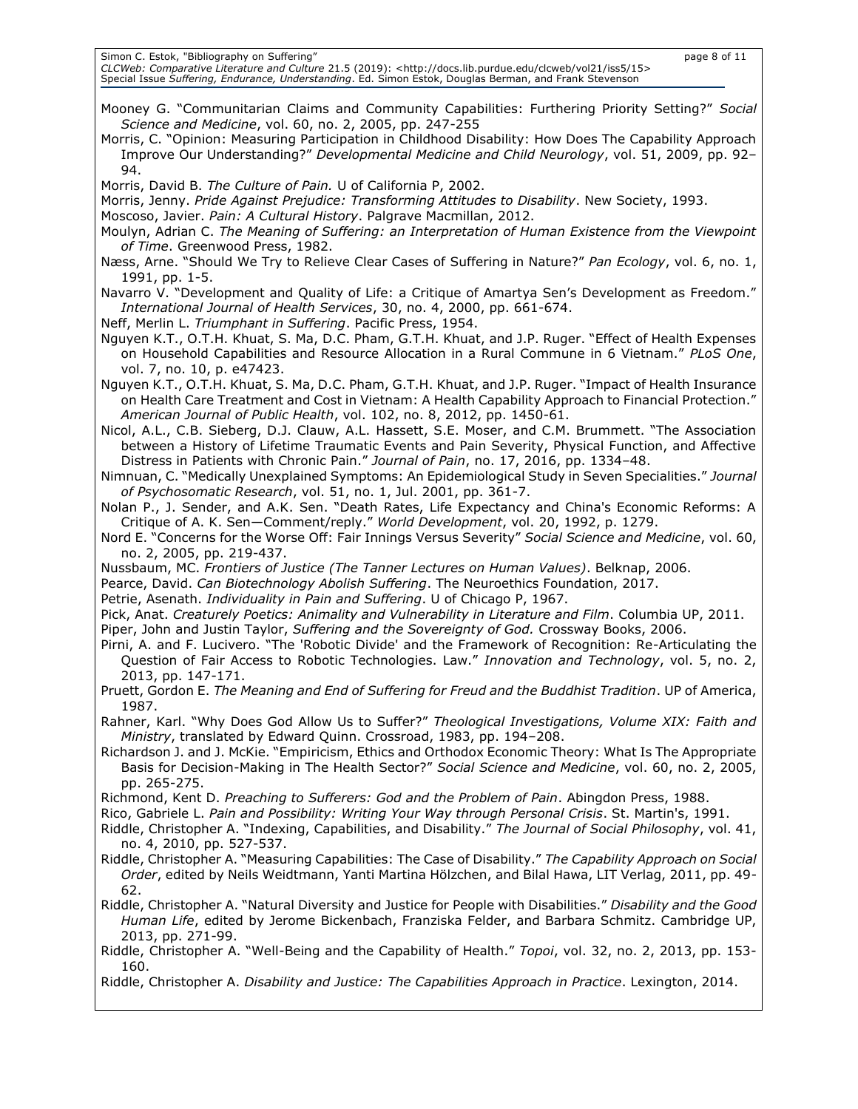| Simon C. Estok, "Bibliography on Suffering"                                                                                                                                                                                                 | page 8 of 11 |
|---------------------------------------------------------------------------------------------------------------------------------------------------------------------------------------------------------------------------------------------|--------------|
| CLCWeb: Comparative Literature and Culture 21.5 (2019): <http: 15="" clcweb="" docs.lib.purdue.edu="" iss5="" vol21=""><br/>Special Issue Suffering, Endurance, Understanding. Ed. Simon Estok, Douglas Berman, and Frank Stevenson</http:> |              |
|                                                                                                                                                                                                                                             |              |

- 
- Mooney G. "Communitarian Claims and Community Capabilities: Furthering Priority Setting?" *Social Science and Medicine*, vol. 60, no. 2, 2005, pp. 247-255
- Morris, C. "Opinion: Measuring Participation in Childhood Disability: How Does The Capability Approach Improve Our Understanding?" *Developmental Medicine and Child Neurology*, vol. 51, 2009, pp. 92– 94.

Morris, David B. *The Culture of Pain.* U of California P, 2002.

Morris, Jenny. *Pride Against Prejudice: Transforming Attitudes to Disability*. New Society, 1993.

Moscoso, Javier. *Pain: A Cultural History*. Palgrave Macmillan, 2012.

Moulyn, Adrian C. *The Meaning of Suffering: an Interpretation of Human Existence from the Viewpoint of Time*. Greenwood Press, 1982.

Næss, Arne. "Should We Try to Relieve Clear Cases of Suffering in Nature?" *Pan Ecology*, vol. 6, no. 1, 1991, pp. 1-5.

Navarro V. "Development and Quality of Life: a Critique of Amartya Sen's Development as Freedom." *International Journal of Health Services*, 30, no. 4, 2000, pp. 661-674.

Neff, Merlin L. *Triumphant in Suffering*. Pacific Press, 1954.

Nguyen K.T., O.T.H. Khuat, S. Ma, D.C. Pham, G.T.H. Khuat, and J.P. Ruger. "Effect of Health Expenses on Household Capabilities and Resource Allocation in a Rural Commune in 6 Vietnam." *PLoS One*, vol. 7, no. 10, p. e47423.

Nguyen K.T., O.T.H. Khuat, S. Ma, D.C. Pham, G.T.H. Khuat, and J.P. Ruger. "Impact of Health Insurance on Health Care Treatment and Cost in Vietnam: A Health Capability Approach to Financial Protection." *American Journal of Public Health*, vol. 102, no. 8, 2012, pp. 1450-61.

Nicol, A.L., C.B. Sieberg, D.J. Clauw, A.L. Hassett, S.E. Moser, and C.M. Brummett. "The Association between a History of Lifetime Traumatic Events and Pain Severity, Physical Function, and Affective Distress in Patients with Chronic Pain." *Journal of Pain*, no. 17, 2016, pp. 1334–48.

Nimnuan, C. "Medically Unexplained Symptoms: An Epidemiological Study in Seven Specialities." *Journal of Psychosomatic Research*, vol. 51, no. 1, Jul. 2001, pp. 361-7.

Nolan P., J. Sender, and A.K. Sen. "Death Rates, Life Expectancy and China's Economic Reforms: A Critique of A. K. Sen—Comment/reply." *World Development*, vol. 20, 1992, p. 1279.

Nord E. "Concerns for the Worse Off: Fair Innings Versus Severity" *Social Science and Medicine*, vol. 60, no. 2, 2005, pp. 219-437.

Nussbaum, MC. *Frontiers of Justice (The Tanner Lectures on Human Values)*. Belknap, 2006.

Pearce, David. *Can Biotechnology Abolish Suffering*. The Neuroethics Foundation, 2017.

Petrie, Asenath. *Individuality in Pain and Suffering*. U of Chicago P, 1967.

Pick, Anat. *Creaturely Poetics: Animality and Vulnerability in Literature and Film*. Columbia UP, 2011. Piper, John and Justin Taylor, *Suffering and the Sovereignty of God.* Crossway Books, 2006.

Pirni, A. and F. Lucivero. "The 'Robotic Divide' and the Framework of Recognition: Re-Articulating the Question of Fair Access to Robotic Technologies. Law." *Innovation and Technology*, vol. 5, no. 2, 2013, pp. 147-171.

Pruett, Gordon E. *The Meaning and End of Suffering for Freud and the Buddhist Tradition*. UP of America, 1987.

Rahner, Karl. "Why Does God Allow Us to Suffer?" *Theological Investigations, Volume XIX: Faith and Ministry*, translated by Edward Quinn. Crossroad, 1983, pp. 194–208.

Richardson J. and J. McKie. "Empiricism, Ethics and Orthodox Economic Theory: What Is The Appropriate Basis for Decision-Making in The Health Sector?" *Social Science and Medicine*, vol. 60, no. 2, 2005, pp. 265-275.

Richmond, Kent D. *Preaching to Sufferers: God and the Problem of Pain*. Abingdon Press, 1988.

Rico, Gabriele L. *Pain and Possibility: Writing Your Way through Personal Crisis*. St. Martin's, 1991.

Riddle, Christopher A. "Indexing, Capabilities, and Disability." *The Journal of Social Philosophy*, vol. 41, no. 4, 2010, pp. 527-537.

Riddle, Christopher A. "Measuring Capabilities: The Case of Disability." *The Capability Approach on Social Order*, edited by Neils Weidtmann, Yanti Martina Hölzchen, and Bilal Hawa, LIT Verlag, 2011, pp. 49- 62.

Riddle, Christopher A. "Natural Diversity and Justice for People with Disabilities." *Disability and the Good Human Life*, edited by Jerome Bickenbach, Franziska Felder, and Barbara Schmitz. Cambridge UP, 2013, pp. 271-99.

Riddle, Christopher A. "Well-Being and the Capability of Health." *Topoi*, vol. 32, no. 2, 2013, pp. 153- 160.

Riddle, Christopher A. *Disability and Justice: The Capabilities Approach in Practice*. Lexington, 2014.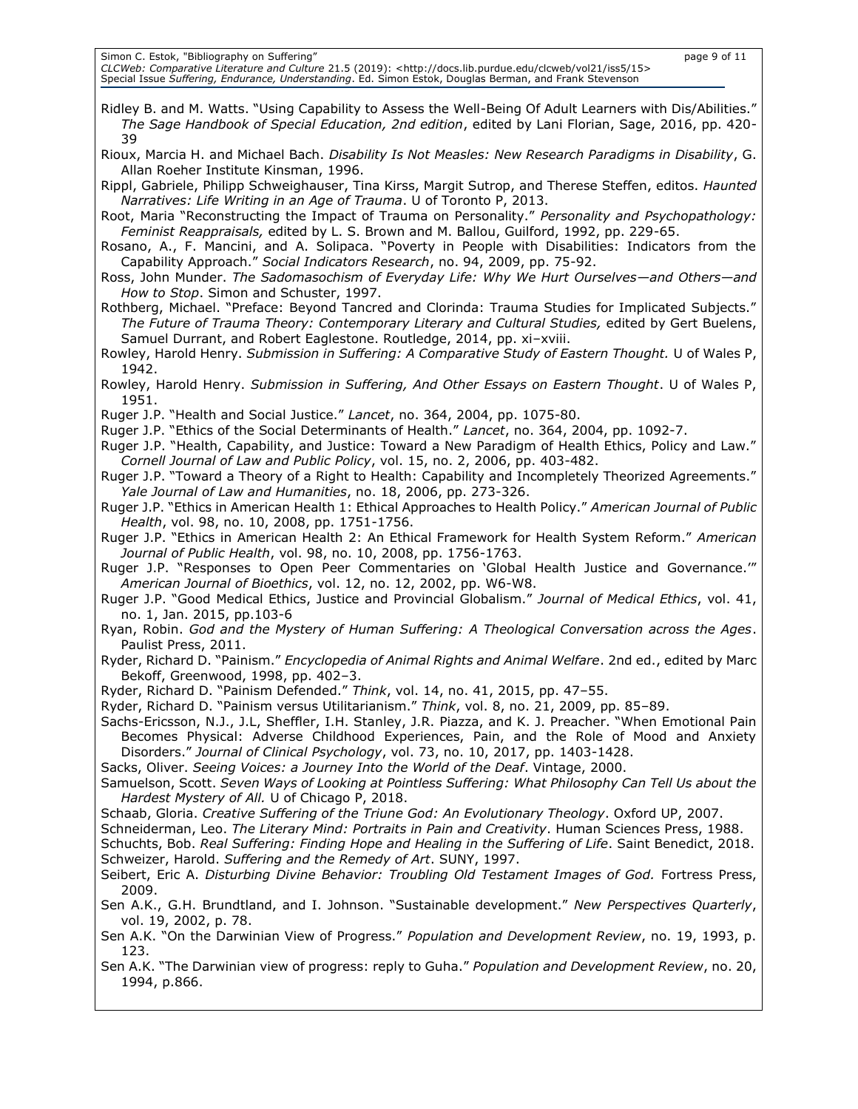| Simon C. Estok, "Bibliography on Suffering"                                                                                     | page 9 of 11 |
|---------------------------------------------------------------------------------------------------------------------------------|--------------|
| CLCWeb: Comparative Literature and Culture 21.5 (2019): <http: 15="" clcweb="" docs.lib.purdue.edu="" iss5="" vol21=""></http:> |              |
| Special Issue Suffering, Endurance, Understanding. Ed. Simon Estok, Douglas Berman, and Frank Stevenson                         |              |

- Ridley B. and M. Watts. "Using Capability to Assess the Well-Being Of Adult Learners with Dis/Abilities." *The Sage Handbook of Special Education, 2nd edition*, edited by Lani Florian, Sage, 2016, pp. 420- 39
- Rioux, Marcia H. and Michael Bach. *Disability Is Not Measles: New Research Paradigms in Disability*, G. Allan Roeher Institute Kinsman, 1996.
- Rippl, Gabriele, Philipp Schweighauser, Tina Kirss, Margit Sutrop, and Therese Steffen, editos. *Haunted Narratives: Life Writing in an Age of Trauma*. U of Toronto P, 2013.
- Root, Maria "Reconstructing the Impact of Trauma on Personality." *Personality and Psychopathology: Feminist Reappraisals,* edited by L. S. Brown and M. Ballou, Guilford, 1992, pp. 229-65.
- Rosano, A., F. Mancini, and A. Solipaca. "Poverty in People with Disabilities: Indicators from the Capability Approach." *Social Indicators Research*, no. 94, 2009, pp. 75-92.
- Ross, John Munder. *The Sadomasochism of Everyday Life: Why We Hurt Ourselves—and Others—and How to Stop*. Simon and Schuster, 1997.
- Rothberg, Michael. "Preface: Beyond Tancred and Clorinda: Trauma Studies for Implicated Subjects." The Future of Trauma Theory: Contemporary Literary and Cultural Studies, edited by Gert Buelens, Samuel Durrant, and Robert Eaglestone. Routledge, 2014, pp. xi–xviii.
- Rowley, Harold Henry. *Submission in Suffering: A Comparative Study of Eastern Thought.* U of Wales P, 1942.
- Rowley, Harold Henry. *Submission in Suffering, And Other Essays on Eastern Thought*. U of Wales P, 1951.
- Ruger J.P. "Health and Social Justice." *Lancet*, no. 364, 2004, pp. 1075-80.
- Ruger J.P. "Ethics of the Social Determinants of Health." *Lancet*, no. 364, 2004, pp. 1092-7.
- Ruger J.P. "Health, Capability, and Justice: Toward a New Paradigm of Health Ethics, Policy and Law." *Cornell Journal of Law and Public Policy*, vol. 15, no. 2, 2006, pp. 403-482.
- Ruger J.P. "Toward a Theory of a Right to Health: Capability and Incompletely Theorized Agreements." *Yale Journal of Law and Humanities*, no. 18, 2006, pp. 273-326.
- Ruger J.P. "Ethics in American Health 1: Ethical Approaches to Health Policy." *American Journal of Public Health*, vol. 98, no. 10, 2008, pp. 1751-1756.
- Ruger J.P. "Ethics in American Health 2: An Ethical Framework for Health System Reform." *American Journal of Public Health*, vol. 98, no. 10, 2008, pp. 1756-1763.
- Ruger J.P. "Responses to Open Peer Commentaries on 'Global Health Justice and Governance.'" *American Journal of Bioethics*, vol. 12, no. 12, 2002, pp. W6-W8.
- Ruger J.P. "Good Medical Ethics, Justice and Provincial Globalism." *Journal of Medical Ethics*, vol. 41, no. 1, Jan. 2015, pp.103-6
- Ryan, Robin. *God and the Mystery of Human Suffering: A Theological Conversation across the Ages*. Paulist Press, 2011.
- Ryder, Richard D. "Painism." *Encyclopedia of Animal Rights and Animal Welfare*. 2nd ed., edited by Marc Bekoff, Greenwood, 1998, pp. 402–3.
- Ryder, Richard D. "Painism Defended." *Think*, vol. 14, no. 41, 2015, pp. 47–55.
- Ryder, Richard D. "Painism versus Utilitarianism." *Think*, vol. 8, no. 21, 2009, pp. 85–89.
- Sachs-Ericsson, N.J., J.L, Sheffler, I.H. Stanley, J.R. Piazza, and K. J. Preacher. "When Emotional Pain Becomes Physical: Adverse Childhood Experiences, Pain, and the Role of Mood and Anxiety Disorders." *Journal of Clinical Psychology*, vol. 73, no. 10, 2017, pp. 1403-1428.
- Sacks, Oliver. *Seeing Voices: a Journey Into the World of the Deaf*. Vintage, 2000.

Samuelson, Scott. *Seven Ways of Looking at Pointless Suffering: What Philosophy Can Tell Us about the Hardest Mystery of All.* U of Chicago P, 2018.

- Schaab, Gloria. *Creative Suffering of the Triune God: An Evolutionary Theology*. Oxford UP, 2007.
- Schneiderman, Leo. *The Literary Mind: Portraits in Pain and Creativity*. Human Sciences Press, 1988.

Schuchts, Bob. *Real Suffering: Finding Hope and Healing in the Suffering of Life*. Saint Benedict, 2018. Schweizer, Harold. *Suffering and the Remedy of Art*. SUNY, 1997.

Seibert, Eric A. *Disturbing Divine Behavior: Troubling Old Testament Images of God.* Fortress Press, 2009.

Sen A.K., G.H. Brundtland, and I. Johnson. "Sustainable development." *New Perspectives Quarterly*, vol. 19, 2002, p. 78.

Sen A.K. "On the Darwinian View of Progress." *Population and Development Review*, no. 19, 1993, p. 123.

Sen A.K. "The Darwinian view of progress: reply to Guha." *Population and Development Review*, no. 20, 1994, p.866.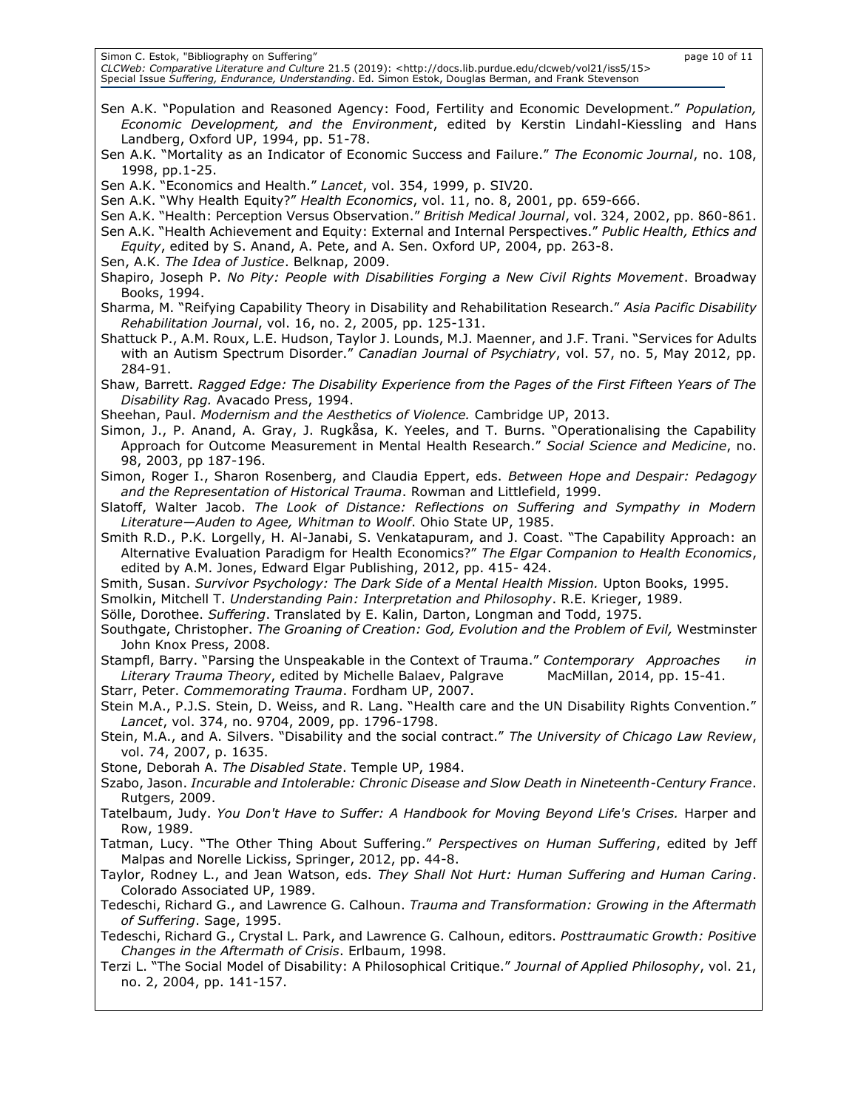Simon C. Estok, "Bibliography on Suffering" entitled and the state of the state of the state of the state of the state of the state of the state of the state of the state of the state of the state of the state of the state *CLCWeb: Comparative Literature and Culture* 21.5 (2019): <http://docs.lib.purdue.edu/clcweb/vol21/iss5/15> Special Issue *Suffering, Endurance, Understanding*. Ed. Simon Estok, Douglas Berman, and Frank Stevenson

Sen A.K. "Population and Reasoned Agency: Food, Fertility and Economic Development." *Population, Economic Development, and the Environment*, edited by Kerstin Lindahl-Kiessling and Hans Landberg, Oxford UP, 1994, pp. 51-78.

Sen A.K. "Mortality as an Indicator of Economic Success and Failure." *The Economic Journal*, no. 108, 1998, pp.1-25.

Sen A.K. "Economics and Health." *Lancet*, vol. 354, 1999, p. SIV20.

Sen A.K. "Why Health Equity?" *Health Economics*, vol. 11, no. 8, 2001, pp. 659-666.

Sen A.K. "Health: Perception Versus Observation." *British Medical Journal*, vol. 324, 2002, pp. 860-861.

Sen A.K. "Health Achievement and Equity: External and Internal Perspectives." *Public Health, Ethics and Equity*, edited by S. Anand, A. Pete, and A. Sen. Oxford UP, 2004, pp. 263-8.

Sen, A.K. *The Idea of Justice*. Belknap, 2009.

Shapiro, Joseph P. *No Pity: People with Disabilities Forging a New Civil Rights Movement*. Broadway Books, 1994.

Sharma, M. "Reifying Capability Theory in Disability and Rehabilitation Research." *Asia Pacific Disability Rehabilitation Journal*, vol. 16, no. 2, 2005, pp. 125-131.

Shattuck P., A.M. Roux, L.E. Hudson, Taylor J. Lounds, M.J. Maenner, and J.F. Trani. "Services for Adults with an Autism Spectrum Disorder." *Canadian Journal of Psychiatry*, vol. 57, no. 5, May 2012, pp. 284-91.

Shaw, Barrett. *Ragged Edge: The Disability Experience from the Pages of the First Fifteen Years of The Disability Rag.* Avacado Press, 1994.

Sheehan, Paul. *Modernism and the Aesthetics of Violence.* Cambridge UP, 2013.

Simon, J., P. Anand, A. Gray, J. Rugkåsa, K. Yeeles, and T. Burns. "Operationalising the Capability Approach for Outcome Measurement in Mental Health Research." *Social Science and Medicine*, no. 98, 2003, pp 187-196.

Simon, Roger I., Sharon Rosenberg, and Claudia Eppert, eds. *Between Hope and Despair: Pedagogy and the Representation of Historical Trauma*. Rowman and Littlefield, 1999.

Slatoff, Walter Jacob. *The Look of Distance: Reflections on Suffering and Sympathy in Modern Literature—Auden to Agee, Whitman to Woolf*. Ohio State UP, 1985.

Smith R.D., P.K. Lorgelly, H. Al-Janabi, S. Venkatapuram, and J. Coast. "The Capability Approach: an Alternative Evaluation Paradigm for Health Economics?" *The Elgar Companion to Health Economics*, edited by A.M. Jones, Edward Elgar Publishing, 2012, pp. 415- 424.

Smith, Susan. *Survivor Psychology: The Dark Side of a Mental Health Mission.* Upton Books, 1995.

Smolkin, Mitchell T. *Understanding Pain: Interpretation and Philosophy*. R.E. Krieger, 1989.

Sölle, Dorothee. *Suffering*. Translated by E. Kalin, Darton, Longman and Todd, 1975.

Southgate, Christopher. *The Groaning of Creation: God, Evolution and the Problem of Evil,* Westminster John Knox Press, 2008.

Stampfl, Barry. "Parsing the Unspeakable in the Context of Trauma." *Contemporary Approaches in*  Literary Trauma Theory, edited by Michelle Balaev, Palgrave MacMillan, 2014, pp. 15-41. Starr, Peter. *Commemorating Trauma*. Fordham UP, 2007.

Stein M.A., P.J.S. Stein, D. Weiss, and R. Lang. "Health care and the UN Disability Rights Convention." *Lancet*, vol. 374, no. 9704, 2009, pp. 1796-1798.

Stein, M.A., and A. Silvers. "Disability and the social contract." *The University of Chicago Law Review*, vol. 74, 2007, p. 1635.

Stone, Deborah A. *The Disabled State*. Temple UP, 1984.

Szabo, Jason. *Incurable and Intolerable: Chronic Disease and Slow Death in Nineteenth-Century France*. Rutgers, 2009.

Tatelbaum, Judy. *You Don't Have to Suffer: A Handbook for Moving Beyond Life's Crises.* Harper and Row, 1989.

Tatman, Lucy. "The Other Thing About Suffering." *Perspectives on Human Suffering*, edited by Jeff Malpas and Norelle Lickiss, Springer, 2012, pp. 44-8.

Taylor, Rodney L., and Jean Watson, eds. *They Shall Not Hurt: Human Suffering and Human Caring*. Colorado Associated UP, 1989.

Tedeschi, Richard G., and Lawrence G. Calhoun. *Trauma and Transformation: Growing in the Aftermath of Suffering*. Sage, 1995.

Tedeschi, Richard G., Crystal L. Park, and Lawrence G. Calhoun, editors. *Posttraumatic Growth: Positive Changes in the Aftermath of Crisis*. Erlbaum, 1998.

Terzi L. "The Social Model of Disability: A Philosophical Critique." *Journal of Applied Philosophy*, vol. 21, no. 2, 2004, pp. 141-157.